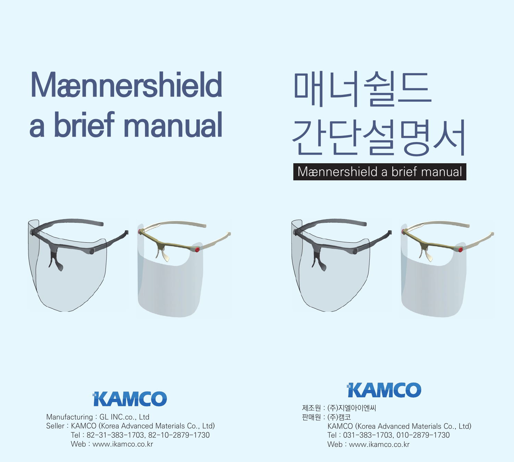# **Mænnershield** a brief manual









Manufacturing : GL INC.co., Ltd Seller : KAMCO (Korea Advanced Materials Co., Ltd) Tel : 82-31-383-1703, 82-10-2879-1730 Web : www.jkamco.co.kr



제조원 : (주)지엘아이엔씨 판매원 : (주)캠코 KAMCO (Korea Advanced Materials Co., Ltd) Tel : 031-383-1703, 010-2879-1730 Web : www.ikamco.co.kr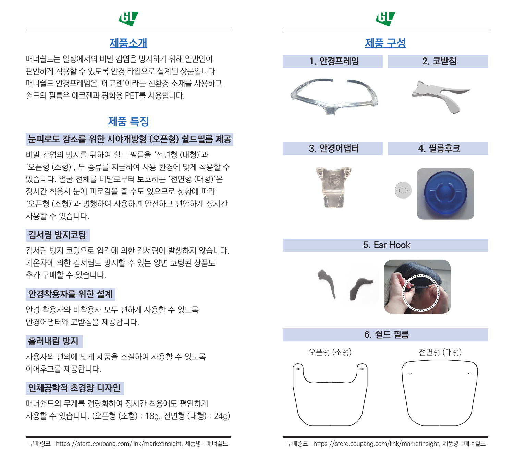# 旧

#### 제품소개

매너쉴드는 일상에서의 비말 감염을 방지하기 위해 일반인이 편안하게 착용할 수 있도록 안경 타입으로 설계된 상품입니다. 매너쉴드 안경프레임은 '에코젠'이라는 친환경 소재를 사용하고, 쉴드의 필름은 에코젠과 광학용 PET를 사용합니다.

#### 제품 특징

#### 눈피로도 감소를 위한 시야개방형 (오픈형) 쉴드필름 제공

비말 감염의 방지를 위하여 쉴드 필름을 '전면형 (대형)'과 '오픈형 (소형)', 두 종류를 지급하여 사용 환경에 맞게 착용할 수 있습니다. 얼굴 전체를 비말로부터 보호하는 '전면형 (대형)'은 장시간 착용시 눈에 피로감을 줄 수도 있으므로 상황에 따라 '오픈형 (소형)'과 병행하여 사용하면 안전하고 편안하게 장시간 사용할 수 있습니다.

#### 김서림 방지코팅

김서림 방지 코팅으로 입김에 의한 김서림이 발생하지 않습니다. 기온차에 의한 김서림도 방지할 수 있는 양면 코팅된 상품도 추가 구매할 수 있습니다.

#### 안경착용자를 위한 설계

안경 착용자와 비착용자 모두 편하게 사용할 수 있도록 안경어댑터와 코받침을 제공합니다.

#### 흘러내림 방지

사용자의 편의에 맞게 제품을 조절하여 사용할 수 있도록 이어후크를 제공합니다.

#### 인체공학적 초경량 디자인

매너쉴드의 무게를 경량화하여 장시간 착용에도 편안하게 사용할 수 있습니다. (오픈형 (소형) : 18g, 전면형 (대형) : 24g)

구매링크 : https://store.coupang.com/link/marketinsight, 제품명 : 매너쉴드 구매링크 : https://store.coupang.com/link/marketinsight, 제품명 : 매너쉴드

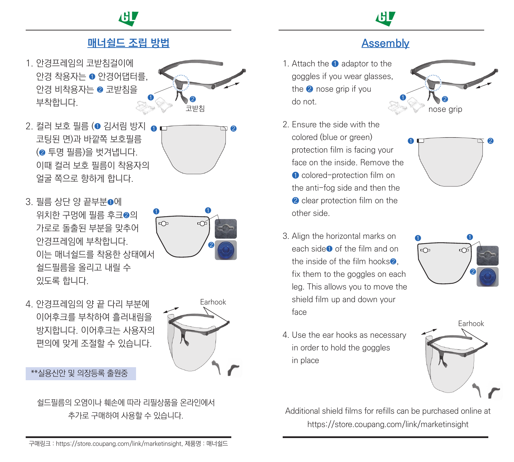# 旧



#### 매너쉴드 조립 방법

1. 안경프레임의 코받침걸이에 안경 착용자는 ❶ 안경어댑터를, 안경 비착용자는 ❷ 코받침을 부착합니다.



2. 컬러 보호 필름 (❶ 김서림 방지 ❹ p ̄ ̄ ̄ ̄ ̄ p ❷ 코팅된 면)과 바깥쪽 보호필름 (❷ 투명 필름)을 벗겨냅니다. 이때 컬러 보호 필름이 착용자의 얼굴 쪽으로 향하게 합니다.



3. 필름 상단 양 끝부분❶에 위치한 구멍에 필름 후크❷의 가로로 돌출된 부분을 맞추어 안경프레임에 부착합니다. 이는 매너쉴드를 착용한 상태에서 쉴드필름을 올리고 내릴 수 있도록 합니다.



4. 안경프레임의 양 끝 다리 부분에 이어후크를 부착하여 흘러내림을 방지합니다. 이어후크는 사용자의 편의에 맞게 조절할 수 있습니다.

\*\*실용신안 및 의장등록 출원중



쉴드필름의 오염이나 훼손에 따라 리필상품을 온라인에서

#### Assembly

❶

- 1. Attach the ❶ adaptor to the goggles if you wear glasses, the ❷ nose grip if you do not.  $\bullet$   $\circ$   $\bullet$   $\circ$   $\bullet$   $\circ$   $\bullet$   $\bullet$   $\bullet$   $\bullet$   $\bullet$ 
	- 2. Ensure the side with the colored (blue or green) protection film is facing your face on the inside. Remove the ❶ colored-protection film on the anti-fog side and then the **2** clear protection film on the other side.  $\bullet$   $\Box$   $\Box$   $\bullet$   $\bullet$
	- 3. Align the horizontal marks on each side<sup>●</sup> of the film and on the inside of the film hooks❷, fix them to the goggles on each leg. This allows you to move the shield film up and down your face
- $\mathbf 0$  $\overline{D}$ ❷

nose grip

4. Use the ear hooks as necessary in order to hold the goggles in place



추가로 구매하여 사용할 수 있습니다. Additional shield films for refills can be purchased online at https://store.coupang.com/link/marketinsight